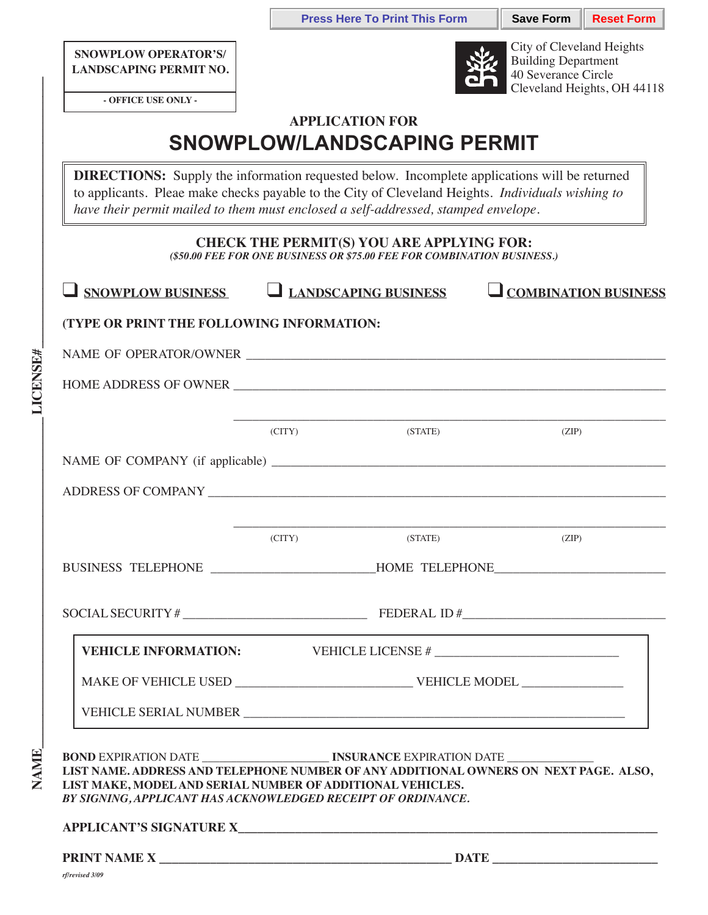**Press Here To Print This Form**  $\parallel$  **Save Form**  $\parallel$  **Reset Form** 

**SNOWPLOW OPERATOR'S/ LANDSCAPING PERMIT NO.**



City of Cleveland Heights Building Department 40 Severance Circle Cleveland Heights, OH 44118

| - OFFICE USE ONLY - |  |  |
|---------------------|--|--|
|---------------------|--|--|

 $NAME$ 

**NAME** 

**LICENSE#** 

## **APPLICATION FOR SNOWPLOW/LANDSCAPING PERMIT**

**DIRECTIONS:** Supply the information requested below. Incomplete applications will be returned to applicants. Pleae make checks payable to the City of Cleveland Heights. *Individuals wishing to have their permit mailed to them must enclosed a self-addressed, stamped envelope.*

## **CHECK THE PERMIT(S) YOU ARE APPLYING FOR:**

*(\$50.00 FEE FOR ONE BUSINESS OR \$75.00 FEE FOR COMBINATION BUSINESS.)*

| $\Box$ SNOWPLOW BUSINESS $\Box$ LANDSCAPING BUSINESS                                                                                                                                                                                                                                                                                                                                                                                                                                                                                       |                 |         | COMBINATION BUSINESS                                                             |
|--------------------------------------------------------------------------------------------------------------------------------------------------------------------------------------------------------------------------------------------------------------------------------------------------------------------------------------------------------------------------------------------------------------------------------------------------------------------------------------------------------------------------------------------|-----------------|---------|----------------------------------------------------------------------------------|
| (TYPE OR PRINT THE FOLLOWING INFORMATION:                                                                                                                                                                                                                                                                                                                                                                                                                                                                                                  |                 |         |                                                                                  |
| $\label{eq:naive} \begin{minipage}{0.9\linewidth} \textbf{NAME OF OPERATOR/OWNER} \textcolor{red}{\textbf{\textcolor{blue}{\textbf{10}}}} \textbf{\textcolor{blue}{\textbf{10}}} \textbf{\textcolor{blue}{\textbf{10}}} \textbf{\textcolor{blue}{\textbf{10}}} \textbf{\textcolor{blue}{\textbf{10}}} \textbf{\textcolor{blue}{\textbf{10}}} \textbf{\textcolor{blue}{\textbf{10}}}} \textbf{\textcolor{blue}{\textbf{10}}} \textbf{\textcolor{blue}{\textbf{10}}}} \textbf{\textcolor{blue}{\textbf{10}}} \textbf{\textcolor{blue}{\text$ |                 |         |                                                                                  |
|                                                                                                                                                                                                                                                                                                                                                                                                                                                                                                                                            |                 |         | HOME ADDRESS OF OWNER                                                            |
|                                                                                                                                                                                                                                                                                                                                                                                                                                                                                                                                            | $\Gamma$ (CITY) | (STATE) | (ZIP)                                                                            |
|                                                                                                                                                                                                                                                                                                                                                                                                                                                                                                                                            |                 |         |                                                                                  |
|                                                                                                                                                                                                                                                                                                                                                                                                                                                                                                                                            |                 |         |                                                                                  |
|                                                                                                                                                                                                                                                                                                                                                                                                                                                                                                                                            | $\Gamma$ (CITY) | (STATE) | (ZIP)                                                                            |
|                                                                                                                                                                                                                                                                                                                                                                                                                                                                                                                                            |                 |         | BUSINESS TELEPHONE ________________________HOME TELEPHONE ______________________ |
|                                                                                                                                                                                                                                                                                                                                                                                                                                                                                                                                            |                 |         |                                                                                  |
|                                                                                                                                                                                                                                                                                                                                                                                                                                                                                                                                            |                 |         |                                                                                  |
|                                                                                                                                                                                                                                                                                                                                                                                                                                                                                                                                            |                 |         |                                                                                  |
|                                                                                                                                                                                                                                                                                                                                                                                                                                                                                                                                            |                 |         |                                                                                  |
| LIST NAME. ADDRESS AND TELEPHONE NUMBER OF ANY ADDITIONAL OWNERS ON NEXT PAGE. ALSO,<br>LIST MAKE, MODEL AND SERIAL NUMBER OF ADDITIONAL VEHICLES.<br>BY SIGNING, APPLICANT HAS ACKNOWLEDGED RECEIPT OF ORDINANCE.                                                                                                                                                                                                                                                                                                                         |                 |         |                                                                                  |
| rf/revised 3/09                                                                                                                                                                                                                                                                                                                                                                                                                                                                                                                            |                 |         |                                                                                  |